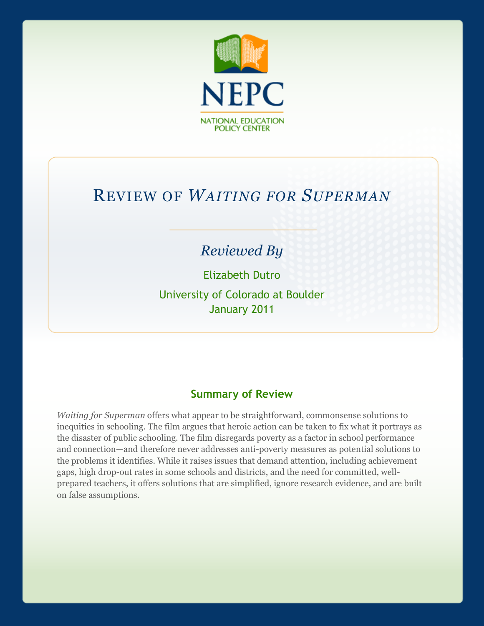

# REVIEW OF *WAITING FOR SUPERMAN*

## *Reviewed By*

Elizabeth Dutro University of Colorado at Boulder January 2011

#### **Summary of Review**

*Waiting for Superman* offers what appear to be straightforward, commonsense solutions to inequities in schooling. The film argues that heroic action can be taken to fix what it portrays as the disaster of public schooling. The film disregards poverty as a factor in school performance and connection—and therefore never addresses anti-poverty measures as potential solutions to the problems it identifies. While it raises issues that demand attention, including achievement gaps, high drop-out rates in some schools and districts, and the need for committed, wellprepared teachers, it offers solutions that are simplified, ignore research evidence, and are built on false assumptions.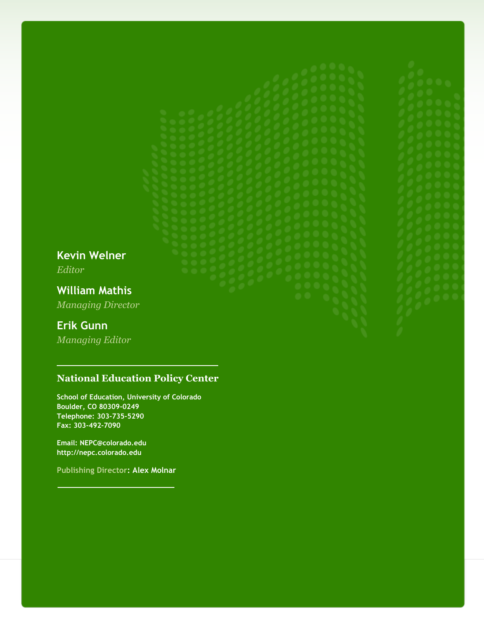**Kevin Welner** *Editor*

**William Mathis** *Managing Director*

#### **Erik Gunn**

*Managing Editor*

#### **National Education Policy Center**

**School of Education, University of Colorado Boulder, CO 80309-0249 Telephone: 303-735-5290 Fax: 303-492-7090**

**Email: NEPC@colorado.edu http://nepc.colorado.edu**

**Publishing Director: Alex Molnar**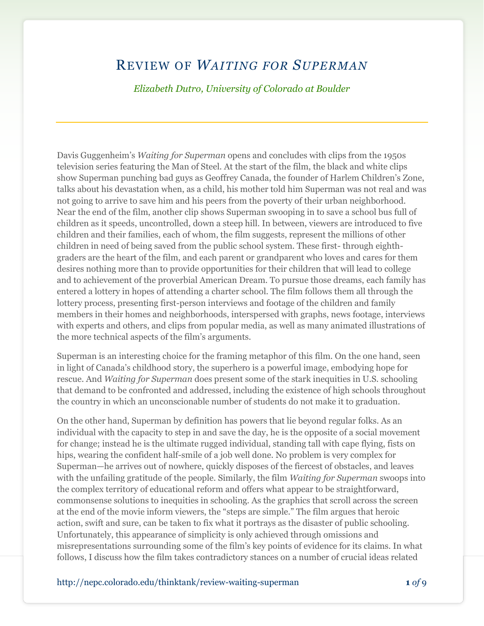## REVIEW OF *WAITING FOR SUPERMAN*

*Elizabeth Dutro, University of Colorado at Boulder*

Davis Guggenheim's *Waiting for Superman* opens and concludes with clips from the 1950s television series featuring the Man of Steel. At the start of the film, the black and white clips show Superman punching bad guys as Geoffrey Canada, the founder of Harlem Children's Zone, talks about his devastation when, as a child, his mother told him Superman was not real and was not going to arrive to save him and his peers from the poverty of their urban neighborhood. Near the end of the film, another clip shows Superman swooping in to save a school bus full of children as it speeds, uncontrolled, down a steep hill. In between, viewers are introduced to five children and their families, each of whom, the film suggests, represent the millions of other children in need of being saved from the public school system. These first- through eighthgraders are the heart of the film, and each parent or grandparent who loves and cares for them desires nothing more than to provide opportunities for their children that will lead to college and to achievement of the proverbial American Dream. To pursue those dreams, each family has entered a lottery in hopes of attending a charter school. The film follows them all through the lottery process, presenting first-person interviews and footage of the children and family members in their homes and neighborhoods, interspersed with graphs, news footage, interviews with experts and others, and clips from popular media, as well as many animated illustrations of the more technical aspects of the film's arguments.

Superman is an interesting choice for the framing metaphor of this film. On the one hand, seen in light of Canada's childhood story, the superhero is a powerful image, embodying hope for rescue. And *Waiting for Superman* does present some of the stark inequities in U.S. schooling that demand to be confronted and addressed, including the existence of high schools throughout the country in which an unconscionable number of students do not make it to graduation.

On the other hand, Superman by definition has powers that lie beyond regular folks. As an individual with the capacity to step in and save the day, he is the opposite of a social movement for change; instead he is the ultimate rugged individual, standing tall with cape flying, fists on hips, wearing the confident half-smile of a job well done. No problem is very complex for Superman—he arrives out of nowhere, quickly disposes of the fiercest of obstacles, and leaves with the unfailing gratitude of the people. Similarly, the film *Waiting for Superman* swoops into the complex territory of educational reform and offers what appear to be straightforward, commonsense solutions to inequities in schooling. As the graphics that scroll across the screen at the end of the movie inform viewers, the "steps are simple." The film argues that heroic action, swift and sure, can be taken to fix what it portrays as the disaster of public schooling. Unfortunately, this appearance of simplicity is only achieved through omissions and misrepresentations surrounding some of the film's key points of evidence for its claims. In what follows, I discuss how the film takes contradictory stances on a number of crucial ideas related

http://nepc.colorado.edu/thinktank/review-waiting-superman **1** *of* 9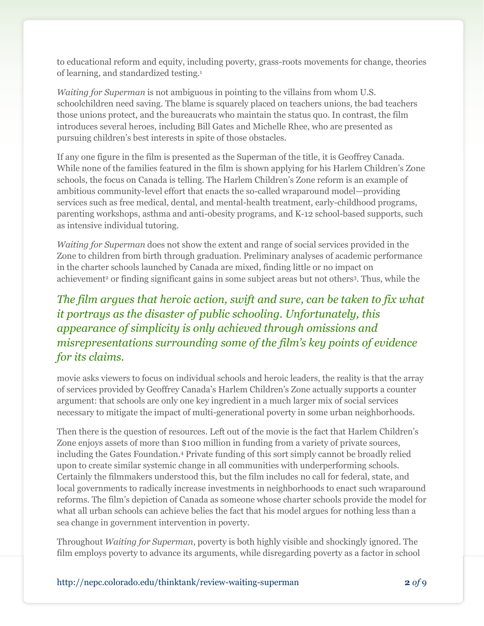to educational reform and equity, including poverty, grass-roots movements for change, theories of learning, and standardized testing.<sup>1</sup>

*Waiting for Superman* is not ambiguous in pointing to the villains from whom U.S. schoolchildren need saving. The blame is squarely placed on teachers unions, the bad teachers those unions protect, and the bureaucrats who maintain the status quo. In contrast, the film introduces several heroes, including Bill Gates and Michelle Rhee, who are presented as pursuing children's best interests in spite of those obstacles.

If any one figure in the film is presented as the Superman of the title, it is Geoffrey Canada. While none of the families featured in the film is shown applying for his Harlem Children's Zone schools, the focus on Canada is telling. The Harlem Children's Zone reform is an example of ambitious community-level effort that enacts the so-called wraparound model—providing services such as free medical, dental, and mental-health treatment, early-childhood programs, parenting workshops, asthma and anti-obesity programs, and K-12 school-based supports, such as intensive individual tutoring.

*Waiting for Superman* does not show the extent and range of social services provided in the Zone to children from birth through graduation. Preliminary analyses of academic performance in the charter schools launched by Canada are mixed, finding little or no impact on achievement<sup>2</sup> or finding significant gains in some subject areas but not others<sup>3</sup>. Thus, while the

### *The film argues that heroic action, swift and sure, can be taken to fix what it portrays as the disaster of public schooling. Unfortunately, this appearance of simplicity is only achieved through omissions and misrepresentations surrounding some of the film's key points of evidence for its claims.*

movie asks viewers to focus on individual schools and heroic leaders, the reality is that the array of services provided by Geoffrey Canada's Harlem Children's Zone actually supports a counter argument: that schools are only one key ingredient in a much larger mix of social services necessary to mitigate the impact of multi-generational poverty in some urban neighborhoods.

Then there is the question of resources. Left out of the movie is the fact that Harlem Children's Zone enjoys assets of more than \$100 million in funding from a variety of private sources, including the Gates Foundation.<sup>4</sup> Private funding of this sort simply cannot be broadly relied upon to create similar systemic change in all communities with underperforming schools. Certainly the filmmakers understood this, but the film includes no call for federal, state, and local governments to radically increase investments in neighborhoods to enact such wraparound reforms. The film's depiction of Canada as someone whose charter schools provide the model for what all urban schools can achieve belies the fact that his model argues for nothing less than a sea change in government intervention in poverty.

Throughout *Waiting for Superman*, poverty is both highly visible and shockingly ignored. The film employs poverty to advance its arguments, while disregarding poverty as a factor in school

http://nepc.colorado.edu/thinktank/review-waiting-superman **2** *of* 9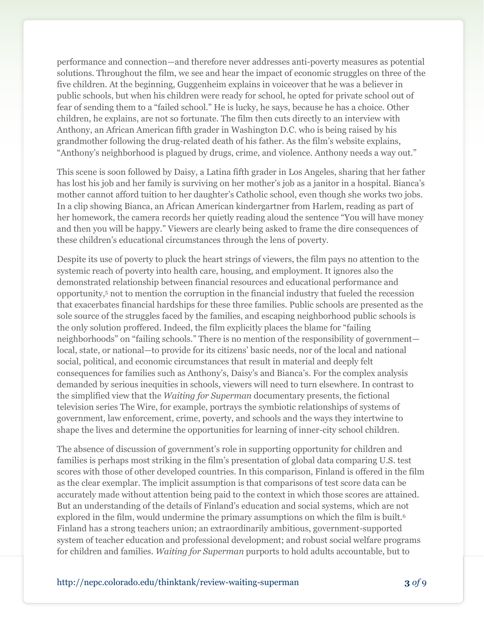performance and connection—and therefore never addresses anti-poverty measures as potential solutions. Throughout the film, we see and hear the impact of economic struggles on three of the five children. At the beginning, Guggenheim explains in voiceover that he was a believer in public schools, but when his children were ready for school, he opted for private school out of fear of sending them to a "failed school." He is lucky, he says, because he has a choice. Other children, he explains, are not so fortunate. The film then cuts directly to an interview with Anthony, an African American fifth grader in Washington D.C. who is being raised by his grandmother following the drug-related death of his father. As the film's website explains, "Anthony's neighborhood is plagued by drugs, crime, and violence. Anthony needs a way out."

This scene is soon followed by Daisy, a Latina fifth grader in Los Angeles, sharing that her father has lost his job and her family is surviving on her mother's job as a janitor in a hospital. Bianca's mother cannot afford tuition to her daughter's Catholic school, even though she works two jobs. In a clip showing Bianca, an African American kindergartner from Harlem, reading as part of her homework, the camera records her quietly reading aloud the sentence "You will have money and then you will be happy." Viewers are clearly being asked to frame the dire consequences of these children's educational circumstances through the lens of poverty.

Despite its use of poverty to pluck the heart strings of viewers, the film pays no attention to the systemic reach of poverty into health care, housing, and employment. It ignores also the demonstrated relationship between financial resources and educational performance and opportunity,<sup>5</sup> not to mention the corruption in the financial industry that fueled the recession that exacerbates financial hardships for these three families. Public schools are presented as the sole source of the struggles faced by the families, and escaping neighborhood public schools is the only solution proffered. Indeed, the film explicitly places the blame for "failing" neighborhoods" on "failing schools." There is no mention of the responsibility of government local, state, or national—to provide for its citizens' basic needs, nor of the local and national social, political, and economic circumstances that result in material and deeply felt consequences for families such as Anthony's, Daisy's and Bianca's. For the complex analysis demanded by serious inequities in schools, viewers will need to turn elsewhere. In contrast to the simplified view that the *Waiting for Superman* documentary presents, the fictional television series The Wire, for example, portrays the symbiotic relationships of systems of government, law enforcement, crime, poverty, and schools and the ways they intertwine to shape the lives and determine the opportunities for learning of inner-city school children.

The absence of discussion of government's role in supporting opportunity for children and families is perhaps most striking in the film's presentation of global data comparing U.S. test scores with those of other developed countries. In this comparison, Finland is offered in the film as the clear exemplar. The implicit assumption is that comparisons of test score data can be accurately made without attention being paid to the context in which those scores are attained. But an understanding of the details of Finland's education and social systems, which are not explored in the film, would undermine the primary assumptions on which the film is built.<sup>6</sup> Finland has a strong teachers union; an extraordinarily ambitious, government-supported system of teacher education and professional development; and robust social welfare programs for children and families. *Waiting for Superman* purports to hold adults accountable, but to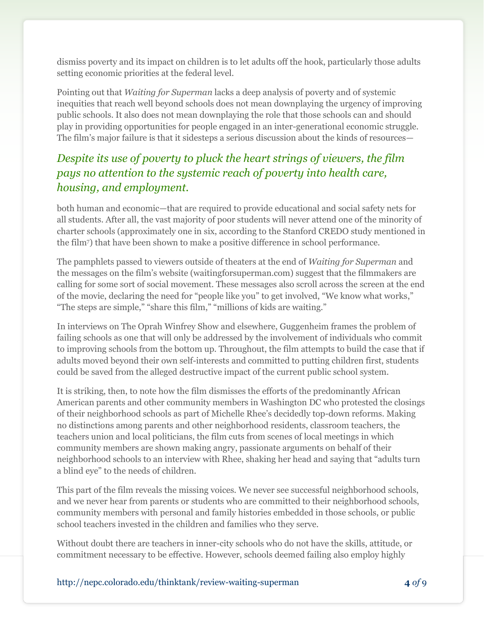dismiss poverty and its impact on children is to let adults off the hook, particularly those adults setting economic priorities at the federal level.

Pointing out that *Waiting for Superman* lacks a deep analysis of poverty and of systemic inequities that reach well beyond schools does not mean downplaying the urgency of improving public schools. It also does not mean downplaying the role that those schools can and should play in providing opportunities for people engaged in an inter-generational economic struggle. The film's major failure is that it sidesteps a serious discussion about the kinds of resources—

### *Despite its use of poverty to pluck the heart strings of viewers, the film pays no attention to the systemic reach of poverty into health care, housing, and employment.*

both human and economic—that are required to provide educational and social safety nets for all students. After all, the vast majority of poor students will never attend one of the minority of charter schools (approximately one in six, according to the Stanford CREDO study mentioned in the film7) that have been shown to make a positive difference in school performance.

The pamphlets passed to viewers outside of theaters at the end of *Waiting for Superman* and the messages on the film's website (waitingforsuperman.com) suggest that the filmmakers are calling for some sort of social movement. These messages also scroll across the screen at the end of the movie, declaring the need for "people like you" to get involved, "We know what works," "The steps are simple," "share this film," "millions of kids are waiting."

In interviews on The Oprah Winfrey Show and elsewhere, Guggenheim frames the problem of failing schools as one that will only be addressed by the involvement of individuals who commit to improving schools from the bottom up. Throughout, the film attempts to build the case that if adults moved beyond their own self-interests and committed to putting children first, students could be saved from the alleged destructive impact of the current public school system.

It is striking, then, to note how the film dismisses the efforts of the predominantly African American parents and other community members in Washington DC who protested the closings of their neighborhood schools as part of Michelle Rhee's decidedly top-down reforms. Making no distinctions among parents and other neighborhood residents, classroom teachers, the teachers union and local politicians, the film cuts from scenes of local meetings in which community members are shown making angry, passionate arguments on behalf of their neighborhood schools to an interview with Rhee, shaking her head and saying that "adults turn a blind eye" to the needs of children.

This part of the film reveals the missing voices. We never see successful neighborhood schools, and we never hear from parents or students who are committed to their neighborhood schools, community members with personal and family histories embedded in those schools, or public school teachers invested in the children and families who they serve.

Without doubt there are teachers in inner-city schools who do not have the skills, attitude, or commitment necessary to be effective. However, schools deemed failing also employ highly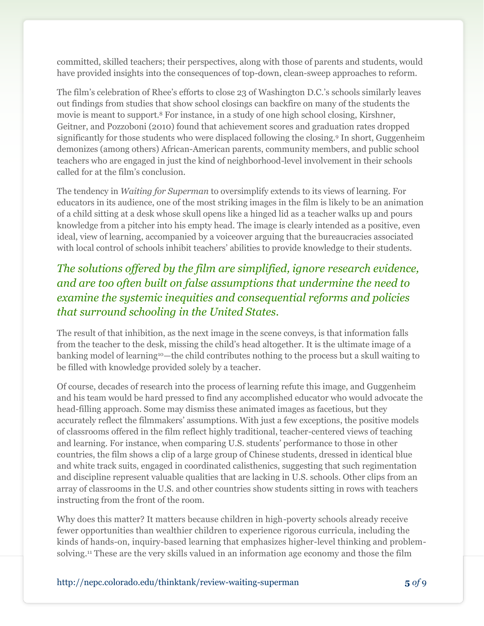committed, skilled teachers; their perspectives, along with those of parents and students, would have provided insights into the consequences of top-down, clean-sweep approaches to reform.

The film's celebration of Rhee's efforts to close 23 of Washington D.C.'s schools similarly leaves out findings from studies that show school closings can backfire on many of the students the movie is meant to support.<sup>8</sup> For instance, in a study of one high school closing, Kirshner, Geitner, and Pozzoboni (2010) found that achievement scores and graduation rates dropped significantly for those students who were displaced following the closing.<sup>9</sup> In short, Guggenheim demonizes (among others) African-American parents, community members, and public school teachers who are engaged in just the kind of neighborhood-level involvement in their schools called for at the film's conclusion.

The tendency in *Waiting for Superman* to oversimplify extends to its views of learning. For educators in its audience, one of the most striking images in the film is likely to be an animation of a child sitting at a desk whose skull opens like a hinged lid as a teacher walks up and pours knowledge from a pitcher into his empty head. The image is clearly intended as a positive, even ideal, view of learning, accompanied by a voiceover arguing that the bureaucracies associated with local control of schools inhibit teachers' abilities to provide knowledge to their students.

### *The solutions offered by the film are simplified, ignore research evidence, and are too often built on false assumptions that undermine the need to examine the systemic inequities and consequential reforms and policies that surround schooling in the United States.*

The result of that inhibition, as the next image in the scene conveys, is that information falls from the teacher to the desk, missing the child's head altogether. It is the ultimate image of a banking model of learning<sup>10</sup>—the child contributes nothing to the process but a skull waiting to be filled with knowledge provided solely by a teacher.

Of course, decades of research into the process of learning refute this image, and Guggenheim and his team would be hard pressed to find any accomplished educator who would advocate the head-filling approach. Some may dismiss these animated images as facetious, but they accurately reflect the filmmakers' assumptions. With just a few exceptions, the positive models of classrooms offered in the film reflect highly traditional, teacher-centered views of teaching and learning. For instance, when comparing U.S. students' performance to those in other countries, the film shows a clip of a large group of Chinese students, dressed in identical blue and white track suits, engaged in coordinated calisthenics, suggesting that such regimentation and discipline represent valuable qualities that are lacking in U.S. schools. Other clips from an array of classrooms in the U.S. and other countries show students sitting in rows with teachers instructing from the front of the room.

Why does this matter? It matters because children in high-poverty schools already receive fewer opportunities than wealthier children to experience rigorous curricula, including the kinds of hands-on, inquiry-based learning that emphasizes higher-level thinking and problemsolving.<sup>11</sup> These are the very skills valued in an information age economy and those the film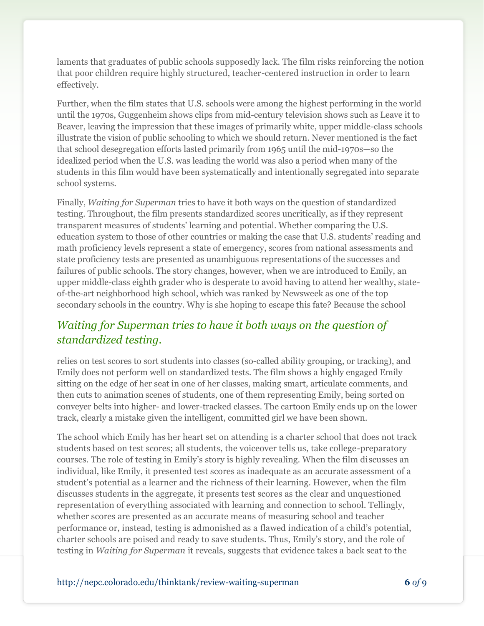laments that graduates of public schools supposedly lack. The film risks reinforcing the notion that poor children require highly structured, teacher-centered instruction in order to learn effectively.

Further, when the film states that U.S. schools were among the highest performing in the world until the 1970s, Guggenheim shows clips from mid-century television shows such as Leave it to Beaver, leaving the impression that these images of primarily white, upper middle-class schools illustrate the vision of public schooling to which we should return. Never mentioned is the fact that school desegregation efforts lasted primarily from 1965 until the mid-1970s—so the idealized period when the U.S. was leading the world was also a period when many of the students in this film would have been systematically and intentionally segregated into separate school systems.

Finally, *Waiting for Superman* tries to have it both ways on the question of standardized testing. Throughout, the film presents standardized scores uncritically, as if they represent transparent measures of students' learning and potential. Whether comparing the U.S. education system to those of other countries or making the case that U.S. students' reading and math proficiency levels represent a state of emergency, scores from national assessments and state proficiency tests are presented as unambiguous representations of the successes and failures of public schools. The story changes, however, when we are introduced to Emily, an upper middle-class eighth grader who is desperate to avoid having to attend her wealthy, stateof-the-art neighborhood high school, which was ranked by Newsweek as one of the top secondary schools in the country. Why is she hoping to escape this fate? Because the school

### *Waiting for Superman tries to have it both ways on the question of standardized testing.*

relies on test scores to sort students into classes (so-called ability grouping, or tracking), and Emily does not perform well on standardized tests. The film shows a highly engaged Emily sitting on the edge of her seat in one of her classes, making smart, articulate comments, and then cuts to animation scenes of students, one of them representing Emily, being sorted on conveyer belts into higher- and lower-tracked classes. The cartoon Emily ends up on the lower track, clearly a mistake given the intelligent, committed girl we have been shown.

The school which Emily has her heart set on attending is a charter school that does not track students based on test scores; all students, the voiceover tells us, take college-preparatory courses. The role of testing in Emily's story is highly revealing. When the film discusses an individual, like Emily, it presented test scores as inadequate as an accurate assessment of a student's potential as a learner and the richness of their learning. However, when the film discusses students in the aggregate, it presents test scores as the clear and unquestioned representation of everything associated with learning and connection to school. Tellingly, whether scores are presented as an accurate means of measuring school and teacher performance or, instead, testing is admonished as a flawed indication of a child's potential, charter schools are poised and ready to save students. Thus, Emily's story, and the role of testing in *Waiting for Superman* it reveals, suggests that evidence takes a back seat to the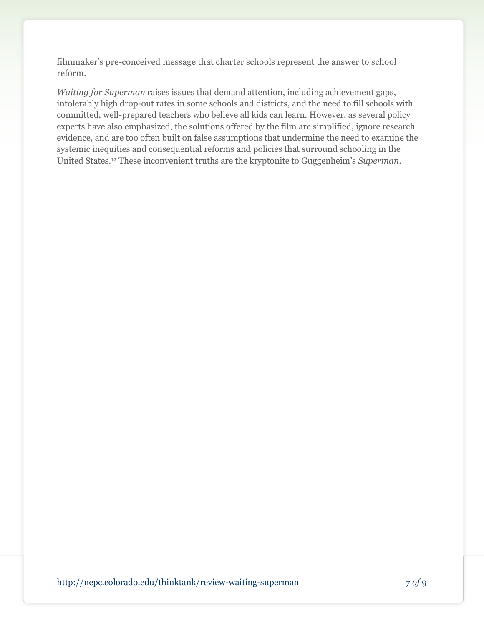filmmaker's pre-conceived message that charter schools represent the answer to school reform.

*Waiting for Superman* raises issues that demand attention, including achievement gaps, intolerably high drop-out rates in some schools and districts, and the need to fill schools with committed, well-prepared teachers who believe all kids can learn. However, as several policy experts have also emphasized, the solutions offered by the film are simplified, ignore research evidence, and are too often built on false assumptions that undermine the need to examine the systemic inequities and consequential reforms and policies that surround schooling in the United States.<sup>12</sup> These inconvenient truths are the kryptonite to Guggenheim's *Superman*.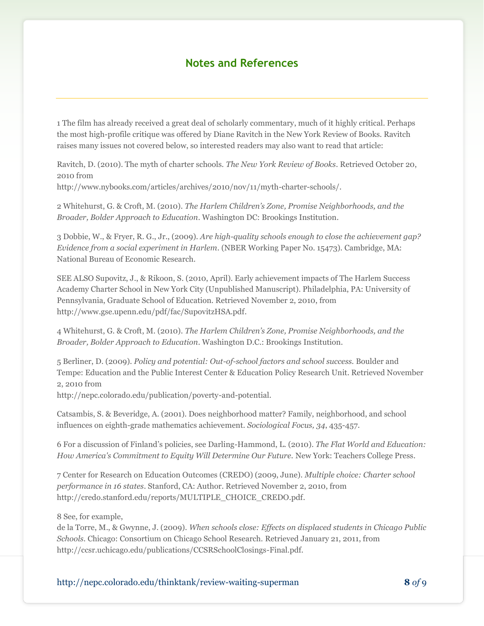#### **Notes and References**

1 The film has already received a great deal of scholarly commentary, much of it highly critical. Perhaps the most high-profile critique was offered by Diane Ravitch in the New York Review of Books. Ravitch raises many issues not covered below, so interested readers may also want to read that article:

Ravitch, D. (2010). The myth of charter schools. *The New York Review of Books*. Retrieved October 20, 2010 from

[http://www.nybooks.com/articles/archives/2010/nov/11/myth-charter-schools/.](http://www.nybooks.com/articles/archives/2010/nov/11/myth-charter-schools/)

2 Whitehurst, G. & Croft, M. (2010). *The Harlem Children's Zone, Promise Neighborhoods, and the Broader, Bolder Approach to Education*. Washington DC: Brookings Institution.

3 Dobbie, W., & Fryer, R. G., Jr., (2009). *Are high-quality schools enough to close the achievement gap? Evidence from a social experiment in Harlem*. (NBER Working Paper No. 15473). Cambridge, MA: National Bureau of Economic Research.

SEE ALSO Supovitz, J., & Rikoon, S. (2010, April). Early achievement impacts of The Harlem Success Academy Charter School in New York City (Unpublished Manuscript). Philadelphia, PA: University of Pennsylvania, Graduate School of Education. Retrieved November 2, 2010, from [http://www.gse.upenn.edu/pdf/fac/SupovitzHSA.pdf.](http://www.gse.upenn.edu/pdf/fac/SupovitzHSA.pdf)

4 Whitehurst, G. & Croft, M. (2010). *The Harlem Children's Zone, Promise Neighborhoods, and the Broader, Bolder Approach to Education*. Washington D.C.: Brookings Institution.

5 Berliner, D. (2009). *Policy and potential: Out-of-school factors and school success.* Boulder and Tempe: Education and the Public Interest Center & Education Policy Research Unit. Retrieved November 2, 2010 from

[http://nepc.colorado.edu/publication/poverty-and-potential.](http://nepc.colorado.edu/publication/poverty-and-potential)

Catsambis, S. & Beveridge, A. (2001). Does neighborhood matter? Family, neighborhood, and school influences on eighth-grade mathematics achievement. *Sociological Focus, 34*, 435-457.

6 For a discussion of Finland's policies, see Darling-Hammond, L. (2010). *The Flat World and Education: How America's Commitment to Equity Will Determine Our Future.* New York: Teachers College Press.

7 Center for Research on Education Outcomes (CREDO) (2009, June). *Multiple choice: Charter school performance in 16 states*. Stanford, CA: Author. Retrieved November 2, 2010, from [http://credo.stanford.edu/reports/MULTIPLE\\_CHOICE\\_CREDO.pdf.](http://credo.stanford.edu/reports/MULTIPLE_CHOICE_CREDO.pdf)

8 See, for example,

de la Torre, M., & Gwynne, J. (2009). *When schools close: Effects on displaced students in Chicago Public Schools.* Chicago: Consortium on Chicago School Research. Retrieved January 21, 2011, from http://ccsr.uchicago.edu/publications/CCSRSchoolClosings-Final.pdf.

http://nepc.colorado.edu/thinktank/review-waiting-superman **8** *of* 9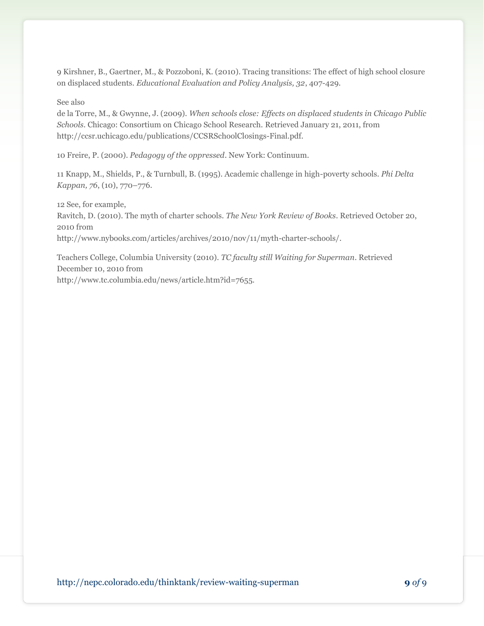9 Kirshner, B., Gaertner, M., & Pozzoboni, K. (2010). Tracing transitions: The effect of high school closure on displaced students. *Educational Evaluation and Policy Analysis, 32*, 407-429.

#### See also

de la Torre, M., & Gwynne, J. (2009). *When schools close: Effects on displaced students in Chicago Public Schools.* Chicago: Consortium on Chicago School Research. Retrieved January 21, 2011, from http://ccsr.uchicago.edu/publications/CCSRSchoolClosings-Final.pdf.

10 Freire, P. (2000). *Pedagogy of the oppressed*. New York: Continuum.

11 Knapp, M., Shields, P., & Turnbull, B. (1995). Academic challenge in high-poverty schools. *Phi Delta Kappan, 76*, (10), 770–776.

12 See, for example,

Ravitch, D. (2010). The myth of charter schools. *The New York Review of Books*. Retrieved October 20, 2010 from

[http://www.nybooks.com/articles/archives/2010/nov/11/myth-charter-schools/.](http://www.nybooks.com/articles/archives/2010/nov/11/myth-charter-schools/)

Teachers College, Columbia University (2010). *TC faculty still Waiting for Superman*. Retrieved December 10, 2010 from

http://www.tc.columbia.edu/news/article.htm?id=7655.